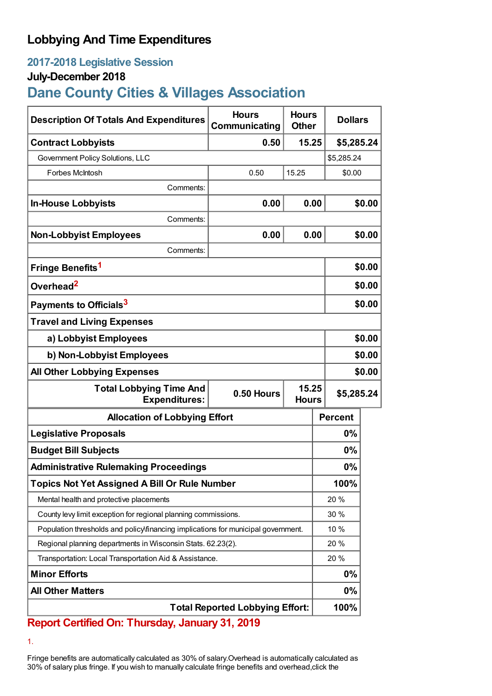# **Lobbying And Time Expenditures**

## **2017-2018 Legislative Session**

### **July-December 2018**

# **Dane County Cities & Villages Association**

| <b>Description Of Totals And Expenditures</b>                                     | <b>Hours</b><br>Communicating          | <b>Hours</b><br><b>Other</b> | <b>Dollars</b> |            |  |
|-----------------------------------------------------------------------------------|----------------------------------------|------------------------------|----------------|------------|--|
| <b>Contract Lobbyists</b>                                                         | 0.50                                   | 15.25                        | \$5,285.24     |            |  |
| Government Policy Solutions, LLC                                                  |                                        |                              | \$5,285.24     |            |  |
| Forbes McIntosh                                                                   | 0.50                                   | 15.25                        | \$0.00         |            |  |
| Comments:                                                                         |                                        |                              |                |            |  |
| <b>In-House Lobbyists</b>                                                         | 0.00                                   | 0.00                         |                | \$0.00     |  |
| Comments:                                                                         |                                        |                              |                |            |  |
| <b>Non-Lobbyist Employees</b>                                                     | 0.00                                   | 0.00                         |                | \$0.00     |  |
| Comments:                                                                         |                                        |                              |                |            |  |
| Fringe Benefits <sup>1</sup>                                                      |                                        |                              |                | \$0.00     |  |
| Overhead <sup>2</sup>                                                             |                                        |                              |                | \$0.00     |  |
| Payments to Officials <sup>3</sup>                                                |                                        |                              |                | \$0.00     |  |
| <b>Travel and Living Expenses</b>                                                 |                                        |                              |                |            |  |
| a) Lobbyist Employees                                                             |                                        |                              |                | \$0.00     |  |
| b) Non-Lobbyist Employees                                                         |                                        |                              |                | \$0.00     |  |
| <b>All Other Lobbying Expenses</b>                                                |                                        |                              |                | \$0.00     |  |
| <b>Total Lobbying Time And</b><br><b>Expenditures:</b>                            | 15.25<br>0.50 Hours<br><b>Hours</b>    |                              |                | \$5,285.24 |  |
| <b>Allocation of Lobbying Effort</b>                                              |                                        | <b>Percent</b>               |                |            |  |
| <b>Legislative Proposals</b>                                                      |                                        |                              | $0\%$          |            |  |
| <b>Budget Bill Subjects</b>                                                       |                                        |                              | 0%             |            |  |
| <b>Administrative Rulemaking Proceedings</b>                                      |                                        |                              | 0%             |            |  |
| <b>Topics Not Yet Assigned A Bill Or Rule Number</b>                              |                                        |                              | 100%           |            |  |
| Mental health and protective placements                                           |                                        |                              | 20%            |            |  |
| County levy limit exception for regional planning commissions.                    |                                        |                              | 30 %           |            |  |
| Population thresholds and policy financing implications for municipal government. |                                        |                              | 10 %           |            |  |
| Regional planning departments in Wisconsin Stats. 62.23(2).                       |                                        |                              | 20 %           |            |  |
| Transportation: Local Transportation Aid & Assistance.                            |                                        |                              | 20 %           |            |  |
| <b>Minor Efforts</b>                                                              |                                        |                              | 0%             |            |  |
| <b>All Other Matters</b>                                                          |                                        |                              | $0\%$          |            |  |
|                                                                                   | <b>Total Reported Lobbying Effort:</b> |                              | 100%           |            |  |

## **Report Certified On: Thursday, January 31, 2019**

1.

Fringe benefits are automatically calculated as 30% of salary.Overhead is automatically calculated as 30% of salary plus fringe. If you wish to manually calculate fringe benefits and overhead,click the